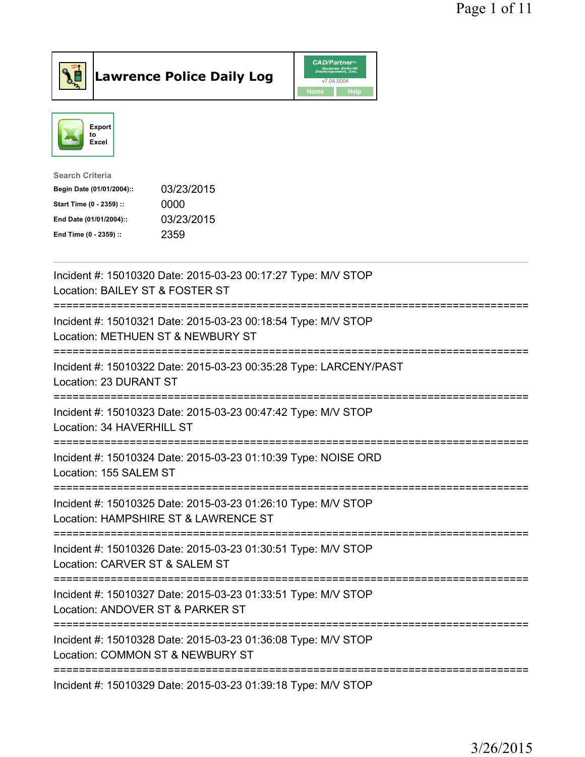

**Lawrence Police Daily Log** CAD/Partner



| <b>Search Criteria</b>    |            |
|---------------------------|------------|
| Begin Date (01/01/2004):: | 03/23/2015 |
| Start Time (0 - 2359) ::  | 0000       |
| End Date (01/01/2004)::   | 03/23/2015 |
| End Time (0 - 2359) ::    | 2359       |

| Incident #: 15010320 Date: 2015-03-23 00:17:27 Type: M/V STOP<br>Location: BAILEY ST & FOSTER ST                                 |
|----------------------------------------------------------------------------------------------------------------------------------|
| Incident #: 15010321 Date: 2015-03-23 00:18:54 Type: M/V STOP<br>Location: METHUEN ST & NEWBURY ST                               |
| Incident #: 15010322 Date: 2015-03-23 00:35:28 Type: LARCENY/PAST<br>Location: 23 DURANT ST                                      |
| Incident #: 15010323 Date: 2015-03-23 00:47:42 Type: M/V STOP<br>Location: 34 HAVERHILL ST                                       |
| Incident #: 15010324 Date: 2015-03-23 01:10:39 Type: NOISE ORD<br>Location: 155 SALEM ST                                         |
| Incident #: 15010325 Date: 2015-03-23 01:26:10 Type: M/V STOP<br>Location: HAMPSHIRE ST & LAWRENCE ST                            |
| =============================<br>Incident #: 15010326 Date: 2015-03-23 01:30:51 Type: M/V STOP<br>Location: CARVER ST & SALEM ST |
| ==========================<br>Incident #: 15010327 Date: 2015-03-23 01:33:51 Type: M/V STOP<br>Location: ANDOVER ST & PARKER ST  |
| --------------------------<br>Incident #: 15010328 Date: 2015-03-23 01:36:08 Type: M/V STOP<br>Location: COMMON ST & NEWBURY ST  |
| Incident #: 15010329 Date: 2015-03-23 01:39:18 Type: M/V STOP                                                                    |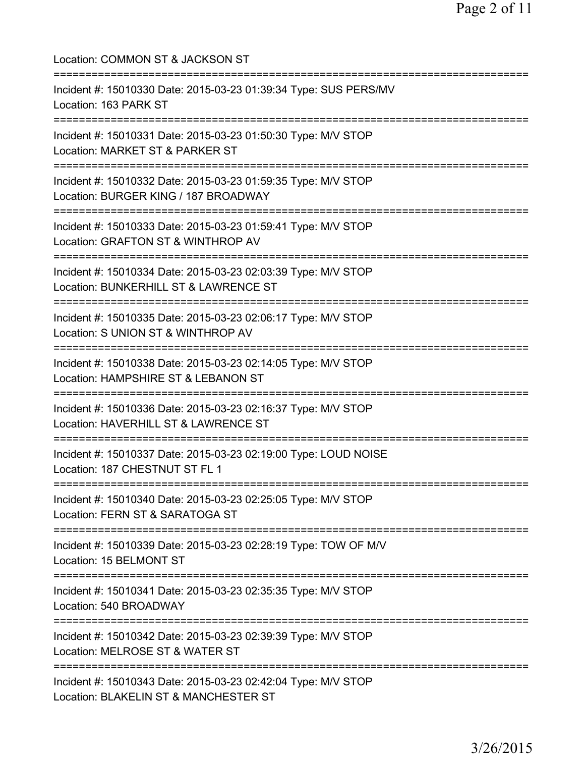| Location: COMMON ST & JACKSON ST                                                                                                                                        |
|-------------------------------------------------------------------------------------------------------------------------------------------------------------------------|
| Incident #: 15010330 Date: 2015-03-23 01:39:34 Type: SUS PERS/MV<br>Location: 163 PARK ST                                                                               |
| Incident #: 15010331 Date: 2015-03-23 01:50:30 Type: M/V STOP<br>Location: MARKET ST & PARKER ST                                                                        |
| Incident #: 15010332 Date: 2015-03-23 01:59:35 Type: M/V STOP<br>Location: BURGER KING / 187 BROADWAY<br>==================================                             |
| Incident #: 15010333 Date: 2015-03-23 01:59:41 Type: M/V STOP<br>Location: GRAFTON ST & WINTHROP AV<br>================================<br>============================ |
| Incident #: 15010334 Date: 2015-03-23 02:03:39 Type: M/V STOP<br>Location: BUNKERHILL ST & LAWRENCE ST<br>================================                              |
| Incident #: 15010335 Date: 2015-03-23 02:06:17 Type: M/V STOP<br>Location: S UNION ST & WINTHROP AV                                                                     |
| Incident #: 15010338 Date: 2015-03-23 02:14:05 Type: M/V STOP<br>Location: HAMPSHIRE ST & LEBANON ST                                                                    |
| Incident #: 15010336 Date: 2015-03-23 02:16:37 Type: M/V STOP<br>Location: HAVERHILL ST & LAWRENCE ST                                                                   |
| Incident #: 15010337 Date: 2015-03-23 02:19:00 Type: LOUD NOISE<br>Location: 187 CHESTNUT ST FL 1                                                                       |
| Incident #: 15010340 Date: 2015-03-23 02:25:05 Type: M/V STOP<br>Location: FERN ST & SARATOGA ST                                                                        |
| Incident #: 15010339 Date: 2015-03-23 02:28:19 Type: TOW OF M/V<br>Location: 15 BELMONT ST                                                                              |
| Incident #: 15010341 Date: 2015-03-23 02:35:35 Type: M/V STOP<br>Location: 540 BROADWAY                                                                                 |
| Incident #: 15010342 Date: 2015-03-23 02:39:39 Type: M/V STOP<br>Location: MELROSE ST & WATER ST                                                                        |
| Incident #: 15010343 Date: 2015-03-23 02:42:04 Type: M/V STOP<br>Location: BLAKELIN ST & MANCHESTER ST                                                                  |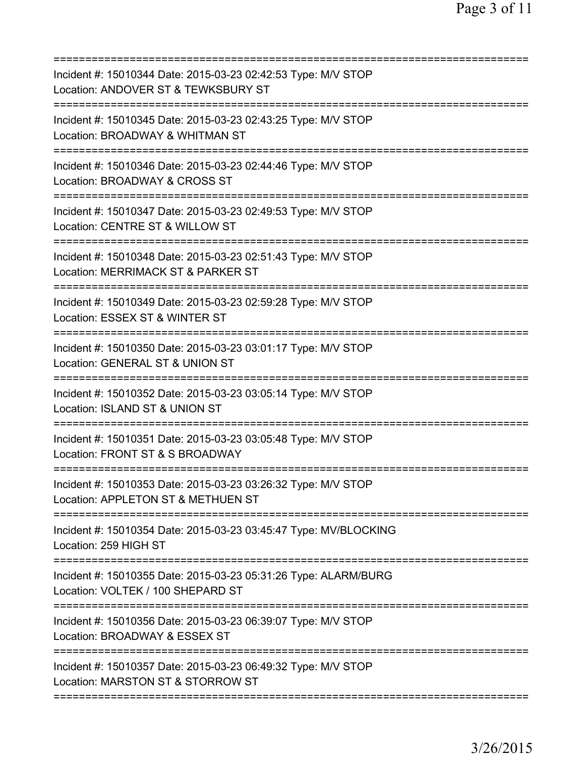| Incident #: 15010344 Date: 2015-03-23 02:42:53 Type: M/V STOP<br>Location: ANDOVER ST & TEWKSBURY ST                              |
|-----------------------------------------------------------------------------------------------------------------------------------|
| Incident #: 15010345 Date: 2015-03-23 02:43:25 Type: M/V STOP<br>Location: BROADWAY & WHITMAN ST                                  |
| Incident #: 15010346 Date: 2015-03-23 02:44:46 Type: M/V STOP<br>Location: BROADWAY & CROSS ST                                    |
| Incident #: 15010347 Date: 2015-03-23 02:49:53 Type: M/V STOP<br>Location: CENTRE ST & WILLOW ST                                  |
| ==========================<br>Incident #: 15010348 Date: 2015-03-23 02:51:43 Type: M/V STOP<br>Location: MERRIMACK ST & PARKER ST |
| =========================<br>Incident #: 15010349 Date: 2015-03-23 02:59:28 Type: M/V STOP<br>Location: ESSEX ST & WINTER ST      |
| Incident #: 15010350 Date: 2015-03-23 03:01:17 Type: M/V STOP<br>Location: GENERAL ST & UNION ST                                  |
| Incident #: 15010352 Date: 2015-03-23 03:05:14 Type: M/V STOP<br>Location: ISLAND ST & UNION ST                                   |
| Incident #: 15010351 Date: 2015-03-23 03:05:48 Type: M/V STOP<br>Location: FRONT ST & S BROADWAY                                  |
| Incident #: 15010353 Date: 2015-03-23 03:26:32 Type: M/V STOP<br>Location: APPLETON ST & METHUEN ST                               |
| ===============================<br>Incident #: 15010354 Date: 2015-03-23 03:45:47 Type: MV/BLOCKING<br>Location: 259 HIGH ST      |
| Incident #: 15010355 Date: 2015-03-23 05:31:26 Type: ALARM/BURG<br>Location: VOLTEK / 100 SHEPARD ST                              |
| Incident #: 15010356 Date: 2015-03-23 06:39:07 Type: M/V STOP<br>Location: BROADWAY & ESSEX ST                                    |
| Incident #: 15010357 Date: 2015-03-23 06:49:32 Type: M/V STOP<br>Location: MARSTON ST & STORROW ST                                |
|                                                                                                                                   |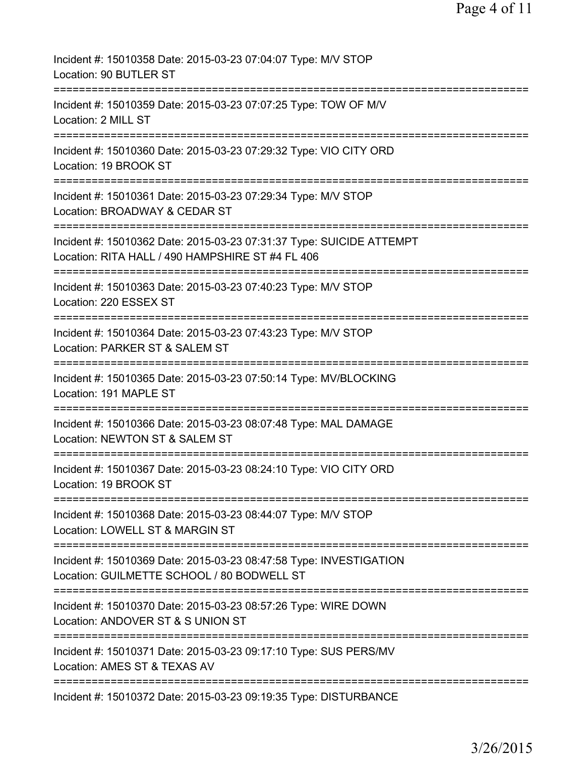| Incident #: 15010358 Date: 2015-03-23 07:04:07 Type: M/V STOP<br>Location: 90 BUTLER ST                                                                                            |
|------------------------------------------------------------------------------------------------------------------------------------------------------------------------------------|
| Incident #: 15010359 Date: 2015-03-23 07:07:25 Type: TOW OF M/V<br>Location: 2 MILL ST                                                                                             |
| Incident #: 15010360 Date: 2015-03-23 07:29:32 Type: VIO CITY ORD<br>Location: 19 BROOK ST<br>-------------                                                                        |
| Incident #: 15010361 Date: 2015-03-23 07:29:34 Type: M/V STOP<br>Location: BROADWAY & CEDAR ST                                                                                     |
| Incident #: 15010362 Date: 2015-03-23 07:31:37 Type: SUICIDE ATTEMPT<br>Location: RITA HALL / 490 HAMPSHIRE ST #4 FL 406                                                           |
| Incident #: 15010363 Date: 2015-03-23 07:40:23 Type: M/V STOP<br>Location: 220 ESSEX ST                                                                                            |
| Incident #: 15010364 Date: 2015-03-23 07:43:23 Type: M/V STOP<br>Location: PARKER ST & SALEM ST                                                                                    |
| Incident #: 15010365 Date: 2015-03-23 07:50:14 Type: MV/BLOCKING<br>Location: 191 MAPLE ST                                                                                         |
| Incident #: 15010366 Date: 2015-03-23 08:07:48 Type: MAL DAMAGE<br>Location: NEWTON ST & SALEM ST                                                                                  |
| Incident #: 15010367 Date: 2015-03-23 08:24:10 Type: VIO CITY ORD<br>Location: 19 BROOK ST                                                                                         |
| Incident #: 15010368 Date: 2015-03-23 08:44:07 Type: M/V STOP<br>Location: LOWELL ST & MARGIN ST                                                                                   |
| Incident #: 15010369 Date: 2015-03-23 08:47:58 Type: INVESTIGATION<br>Location: GUILMETTE SCHOOL / 80 BODWELL ST                                                                   |
| =====================================<br>Incident #: 15010370 Date: 2015-03-23 08:57:26 Type: WIRE DOWN<br>Location: ANDOVER ST & S UNION ST                                       |
| ============================<br>=================<br>=========================<br>Incident #: 15010371 Date: 2015-03-23 09:17:10 Type: SUS PERS/MV<br>Location: AMES ST & TEXAS AV |
| Incident #: 15010372 Date: 2015-03-23 09:19:35 Type: DISTURBANCE                                                                                                                   |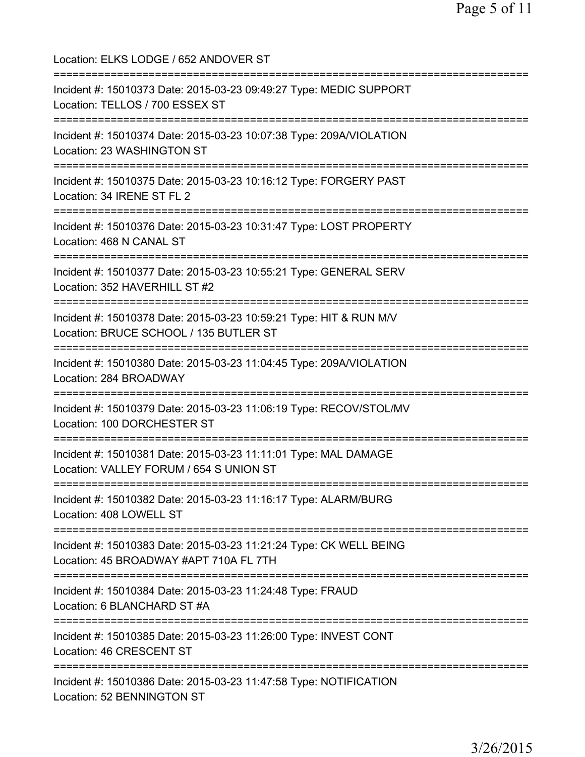Location: ELKS LODGE / 652 ANDOVER ST =========================================================================== Incident #: 15010373 Date: 2015-03-23 09:49:27 Type: MEDIC SUPPORT Location: TELLOS / 700 ESSEX ST =========================================================================== Incident #: 15010374 Date: 2015-03-23 10:07:38 Type: 209A/VIOLATION Location: 23 WASHINGTON ST =========================================================================== Incident #: 15010375 Date: 2015-03-23 10:16:12 Type: FORGERY PAST Location: 34 IRENE ST FL 2 =========================================================================== Incident #: 15010376 Date: 2015-03-23 10:31:47 Type: LOST PROPERTY Location: 468 N CANAL ST =========================================================================== Incident #: 15010377 Date: 2015-03-23 10:55:21 Type: GENERAL SERV Location: 352 HAVERHILL ST #2 =========================================================================== Incident #: 15010378 Date: 2015-03-23 10:59:21 Type: HIT & RUN M/V Location: BRUCE SCHOOL / 135 BUTLER ST =========================================================================== Incident #: 15010380 Date: 2015-03-23 11:04:45 Type: 209A/VIOLATION Location: 284 BROADWAY =========================================================================== Incident #: 15010379 Date: 2015-03-23 11:06:19 Type: RECOV/STOL/MV Location: 100 DORCHESTER ST =========================================================================== Incident #: 15010381 Date: 2015-03-23 11:11:01 Type: MAL DAMAGE Location: VALLEY FORUM / 654 S UNION ST =========================================================================== Incident #: 15010382 Date: 2015-03-23 11:16:17 Type: ALARM/BURG Location: 408 LOWELL ST =========================================================================== Incident #: 15010383 Date: 2015-03-23 11:21:24 Type: CK WELL BEING Location: 45 BROADWAY #APT 710A FL 7TH =========================================================================== Incident #: 15010384 Date: 2015-03-23 11:24:48 Type: FRAUD Location: 6 BLANCHARD ST #A =========================================================================== Incident #: 15010385 Date: 2015-03-23 11:26:00 Type: INVEST CONT Location: 46 CRESCENT ST =========================================================================== Incident #: 15010386 Date: 2015-03-23 11:47:58 Type: NOTIFICATION Location: 52 BENNINGTON ST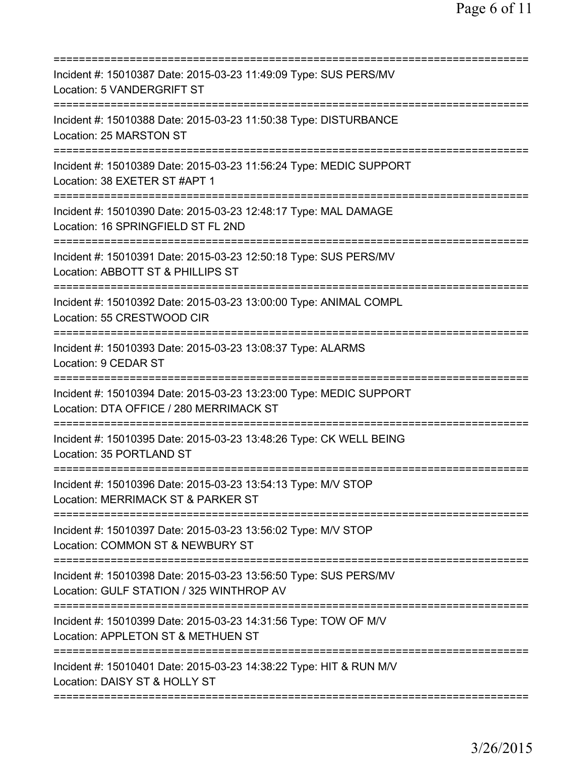| Incident #: 15010387 Date: 2015-03-23 11:49:09 Type: SUS PERS/MV<br>Location: 5 VANDERGRIFT ST                                 |
|--------------------------------------------------------------------------------------------------------------------------------|
| Incident #: 15010388 Date: 2015-03-23 11:50:38 Type: DISTURBANCE<br>Location: 25 MARSTON ST                                    |
| Incident #: 15010389 Date: 2015-03-23 11:56:24 Type: MEDIC SUPPORT<br>Location: 38 EXETER ST #APT 1                            |
| Incident #: 15010390 Date: 2015-03-23 12:48:17 Type: MAL DAMAGE<br>Location: 16 SPRINGFIELD ST FL 2ND                          |
| Incident #: 15010391 Date: 2015-03-23 12:50:18 Type: SUS PERS/MV<br>Location: ABBOTT ST & PHILLIPS ST                          |
| Incident #: 15010392 Date: 2015-03-23 13:00:00 Type: ANIMAL COMPL<br>Location: 55 CRESTWOOD CIR                                |
| Incident #: 15010393 Date: 2015-03-23 13:08:37 Type: ALARMS<br>Location: 9 CEDAR ST                                            |
| =============<br>Incident #: 15010394 Date: 2015-03-23 13:23:00 Type: MEDIC SUPPORT<br>Location: DTA OFFICE / 280 MERRIMACK ST |
| Incident #: 15010395 Date: 2015-03-23 13:48:26 Type: CK WELL BEING<br>Location: 35 PORTLAND ST                                 |
| Incident #: 15010396 Date: 2015-03-23 13:54:13 Type: M/V STOP<br>Location: MERRIMACK ST & PARKER ST                            |
| Incident #: 15010397 Date: 2015-03-23 13:56:02 Type: M/V STOP<br>Location: COMMON ST & NEWBURY ST                              |
| Incident #: 15010398 Date: 2015-03-23 13:56:50 Type: SUS PERS/MV<br>Location: GULF STATION / 325 WINTHROP AV                   |
| Incident #: 15010399 Date: 2015-03-23 14:31:56 Type: TOW OF M/V<br>Location: APPLETON ST & METHUEN ST                          |
| Incident #: 15010401 Date: 2015-03-23 14:38:22 Type: HIT & RUN M/V<br>Location: DAISY ST & HOLLY ST                            |
|                                                                                                                                |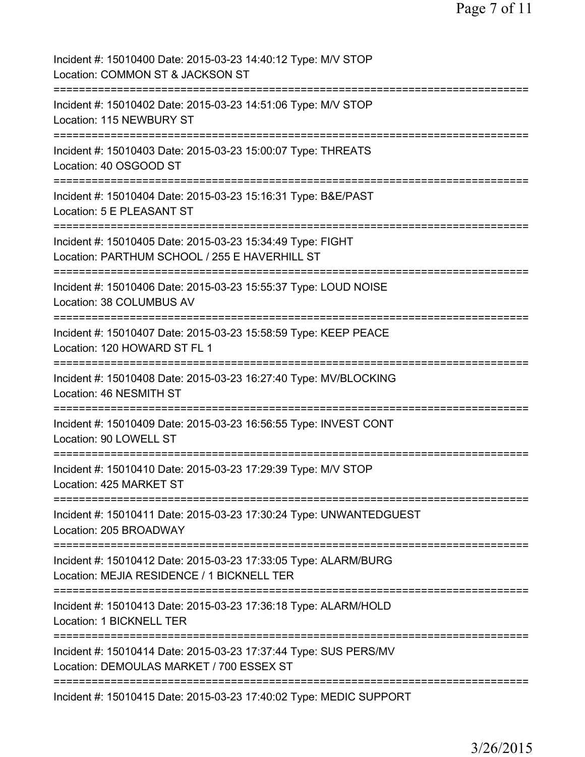Page 7 of 11

| Incident #: 15010400 Date: 2015-03-23 14:40:12 Type: M/V STOP<br>Location: COMMON ST & JACKSON ST                                     |
|---------------------------------------------------------------------------------------------------------------------------------------|
| Incident #: 15010402 Date: 2015-03-23 14:51:06 Type: M/V STOP<br>Location: 115 NEWBURY ST                                             |
| Incident #: 15010403 Date: 2015-03-23 15:00:07 Type: THREATS<br>Location: 40 OSGOOD ST                                                |
| Incident #: 15010404 Date: 2015-03-23 15:16:31 Type: B&E/PAST<br>Location: 5 E PLEASANT ST                                            |
| Incident #: 15010405 Date: 2015-03-23 15:34:49 Type: FIGHT<br>Location: PARTHUM SCHOOL / 255 E HAVERHILL ST                           |
| ====================================<br>Incident #: 15010406 Date: 2015-03-23 15:55:37 Type: LOUD NOISE<br>Location: 38 COLUMBUS AV   |
| ==================================<br>Incident #: 15010407 Date: 2015-03-23 15:58:59 Type: KEEP PEACE<br>Location: 120 HOWARD ST FL 1 |
| Incident #: 15010408 Date: 2015-03-23 16:27:40 Type: MV/BLOCKING<br>Location: 46 NESMITH ST                                           |
| Incident #: 15010409 Date: 2015-03-23 16:56:55 Type: INVEST CONT<br>Location: 90 LOWELL ST                                            |
| Incident #: 15010410 Date: 2015-03-23 17:29:39 Type: M/V STOP<br>Location: 425 MARKET ST                                              |
| Incident #: 15010411 Date: 2015-03-23 17:30:24 Type: UNWANTEDGUEST<br>Location: 205 BROADWAY                                          |
| Incident #: 15010412 Date: 2015-03-23 17:33:05 Type: ALARM/BURG<br>Location: MEJIA RESIDENCE / 1 BICKNELL TER                         |
| Incident #: 15010413 Date: 2015-03-23 17:36:18 Type: ALARM/HOLD<br>Location: 1 BICKNELL TER                                           |
| Incident #: 15010414 Date: 2015-03-23 17:37:44 Type: SUS PERS/MV<br>Location: DEMOULAS MARKET / 700 ESSEX ST                          |
| Incident #: 15010415 Date: 2015-03-23 17:40:02 Type: MEDIC SUPPORT                                                                    |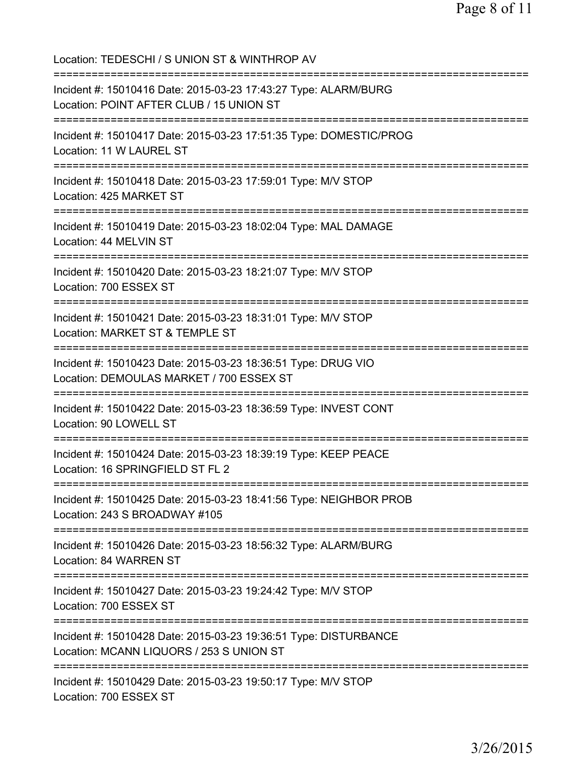Location: TEDESCHI / S UNION ST & WINTHROP AV =========================================================================== Incident #: 15010416 Date: 2015-03-23 17:43:27 Type: ALARM/BURG Location: POINT AFTER CLUB / 15 UNION ST =========================================================================== Incident #: 15010417 Date: 2015-03-23 17:51:35 Type: DOMESTIC/PROG Location: 11 W LAUREL ST =========================================================================== Incident #: 15010418 Date: 2015-03-23 17:59:01 Type: M/V STOP Location: 425 MARKET ST =========================================================================== Incident #: 15010419 Date: 2015-03-23 18:02:04 Type: MAL DAMAGE Location: 44 MELVIN ST =========================================================================== Incident #: 15010420 Date: 2015-03-23 18:21:07 Type: M/V STOP Location: 700 ESSEX ST =========================================================================== Incident #: 15010421 Date: 2015-03-23 18:31:01 Type: M/V STOP Location: MARKET ST & TEMPLE ST =========================================================================== Incident #: 15010423 Date: 2015-03-23 18:36:51 Type: DRUG VIO Location: DEMOULAS MARKET / 700 ESSEX ST =========================================================================== Incident #: 15010422 Date: 2015-03-23 18:36:59 Type: INVEST CONT Location: 90 LOWELL ST =========================================================================== Incident #: 15010424 Date: 2015-03-23 18:39:19 Type: KEEP PEACE Location: 16 SPRINGFIELD ST FL 2 =========================================================================== Incident #: 15010425 Date: 2015-03-23 18:41:56 Type: NEIGHBOR PROB Location: 243 S BROADWAY #105 =========================================================================== Incident #: 15010426 Date: 2015-03-23 18:56:32 Type: ALARM/BURG Location: 84 WARREN ST =========================================================================== Incident #: 15010427 Date: 2015-03-23 19:24:42 Type: M/V STOP Location: 700 ESSEX ST =========================================================================== Incident #: 15010428 Date: 2015-03-23 19:36:51 Type: DISTURBANCE Location: MCANN LIQUORS / 253 S UNION ST =========================================================================== Incident #: 15010429 Date: 2015-03-23 19:50:17 Type: M/V STOP Location: 700 ESSEX ST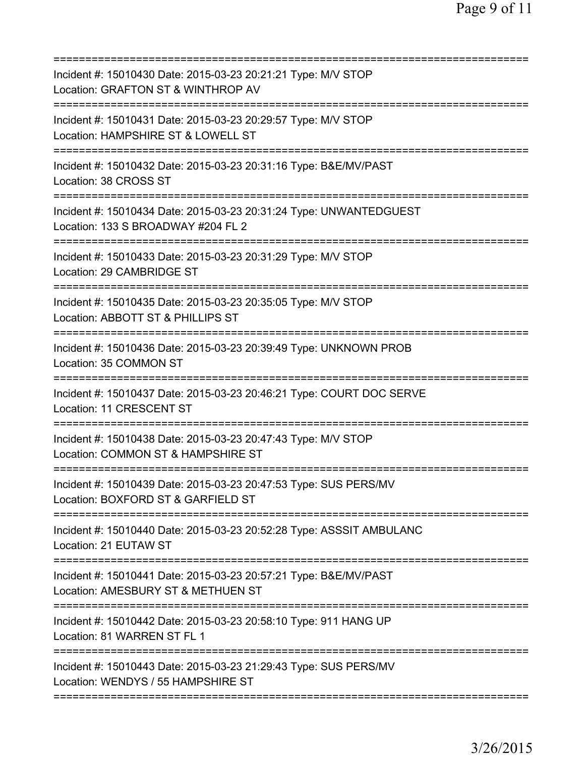| Incident #: 15010430 Date: 2015-03-23 20:21:21 Type: M/V STOP<br>Location: GRAFTON ST & WINTHROP AV<br>======================== |
|---------------------------------------------------------------------------------------------------------------------------------|
| Incident #: 15010431 Date: 2015-03-23 20:29:57 Type: M/V STOP<br>Location: HAMPSHIRE ST & LOWELL ST                             |
| Incident #: 15010432 Date: 2015-03-23 20:31:16 Type: B&E/MV/PAST<br>Location: 38 CROSS ST                                       |
| Incident #: 15010434 Date: 2015-03-23 20:31:24 Type: UNWANTEDGUEST<br>Location: 133 S BROADWAY #204 FL 2                        |
| Incident #: 15010433 Date: 2015-03-23 20:31:29 Type: M/V STOP<br>Location: 29 CAMBRIDGE ST                                      |
| =======================<br>Incident #: 15010435 Date: 2015-03-23 20:35:05 Type: M/V STOP<br>Location: ABBOTT ST & PHILLIPS ST   |
| Incident #: 15010436 Date: 2015-03-23 20:39:49 Type: UNKNOWN PROB<br>Location: 35 COMMON ST                                     |
| Incident #: 15010437 Date: 2015-03-23 20:46:21 Type: COURT DOC SERVE<br>Location: 11 CRESCENT ST<br>------------                |
| Incident #: 15010438 Date: 2015-03-23 20:47:43 Type: M/V STOP<br>Location: COMMON ST & HAMPSHIRE ST                             |
| Incident #: 15010439 Date: 2015-03-23 20:47:53 Type: SUS PERS/MV<br>Location: BOXFORD ST & GARFIELD ST                          |
| Incident #: 15010440 Date: 2015-03-23 20:52:28 Type: ASSSIT AMBULANC<br>Location: 21 EUTAW ST                                   |
| Incident #: 15010441 Date: 2015-03-23 20:57:21 Type: B&E/MV/PAST<br>Location: AMESBURY ST & METHUEN ST                          |
| Incident #: 15010442 Date: 2015-03-23 20:58:10 Type: 911 HANG UP<br>Location: 81 WARREN ST FL 1                                 |
| Incident #: 15010443 Date: 2015-03-23 21:29:43 Type: SUS PERS/MV<br>Location: WENDYS / 55 HAMPSHIRE ST                          |
|                                                                                                                                 |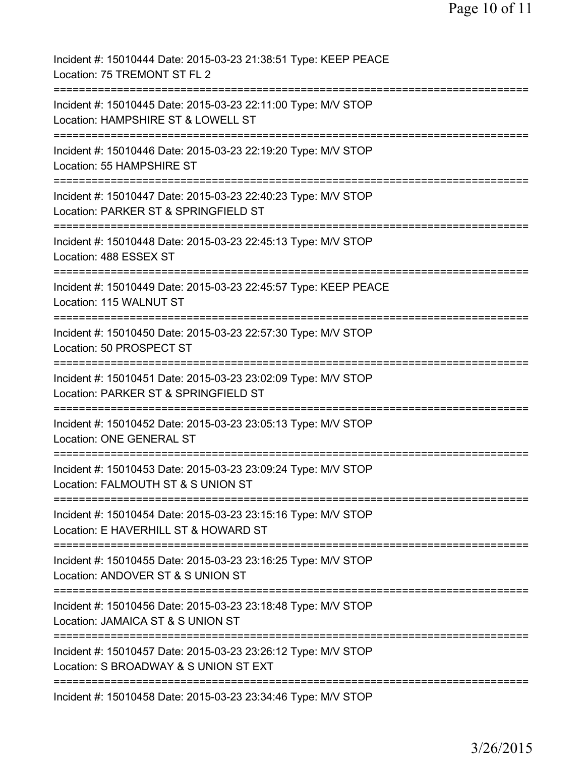| Incident #: 15010444 Date: 2015-03-23 21:38:51 Type: KEEP PEACE<br>Location: 75 TREMONT ST FL 2                                                                         |
|-------------------------------------------------------------------------------------------------------------------------------------------------------------------------|
| Incident #: 15010445 Date: 2015-03-23 22:11:00 Type: M/V STOP<br>Location: HAMPSHIRE ST & LOWELL ST                                                                     |
| Incident #: 15010446 Date: 2015-03-23 22:19:20 Type: M/V STOP<br>Location: 55 HAMPSHIRE ST                                                                              |
| Incident #: 15010447 Date: 2015-03-23 22:40:23 Type: M/V STOP<br>Location: PARKER ST & SPRINGFIELD ST                                                                   |
| Incident #: 15010448 Date: 2015-03-23 22:45:13 Type: M/V STOP<br>Location: 488 ESSEX ST                                                                                 |
| Incident #: 15010449 Date: 2015-03-23 22:45:57 Type: KEEP PEACE<br>Location: 115 WALNUT ST                                                                              |
| Incident #: 15010450 Date: 2015-03-23 22:57:30 Type: M/V STOP<br>Location: 50 PROSPECT ST<br>:===========                                                               |
| Incident #: 15010451 Date: 2015-03-23 23:02:09 Type: M/V STOP<br>Location: PARKER ST & SPRINGFIELD ST                                                                   |
| Incident #: 15010452 Date: 2015-03-23 23:05:13 Type: M/V STOP<br>Location: ONE GENERAL ST                                                                               |
| :=============<br>Incident #: 15010453 Date: 2015-03-23 23:09:24 Type: M/V STOP<br>Location: FALMOUTH ST & S UNION ST                                                   |
| Incident #: 15010454 Date: 2015-03-23 23:15:16 Type: M/V STOP<br>Location: E HAVERHILL ST & HOWARD ST                                                                   |
| =============================<br>================================<br>Incident #: 15010455 Date: 2015-03-23 23:16:25 Type: M/V STOP<br>Location: ANDOVER ST & S UNION ST |
| Incident #: 15010456 Date: 2015-03-23 23:18:48 Type: M/V STOP<br>Location: JAMAICA ST & S UNION ST                                                                      |
| Incident #: 15010457 Date: 2015-03-23 23:26:12 Type: M/V STOP<br>Location: S BROADWAY & S UNION ST EXT                                                                  |
| Incident #: 15010458 Date: 2015-03-23 23:34:46 Type: M/V STOP                                                                                                           |